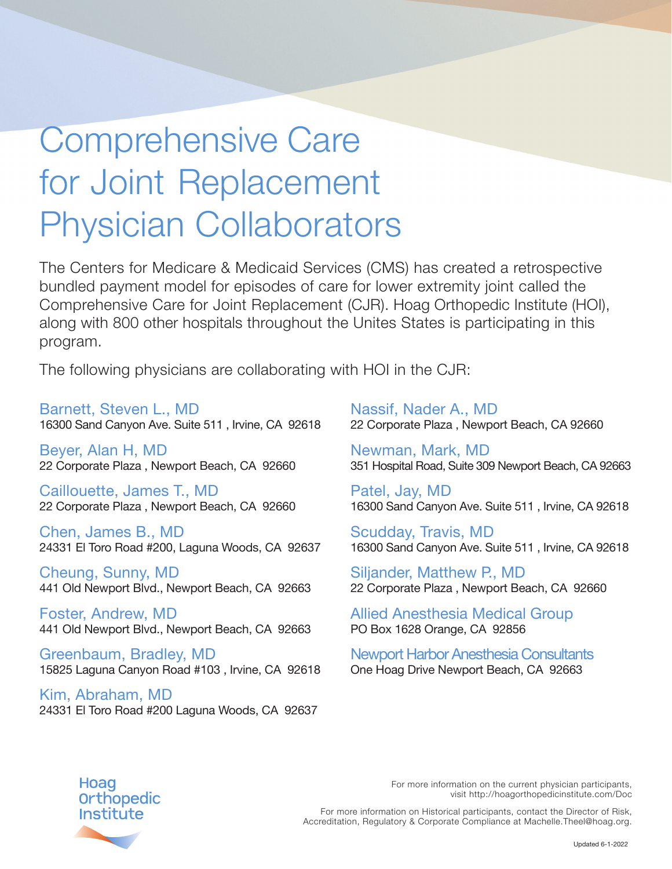## Comprehensive Care for Joint Replacement Physician Collaborators

The Centers for Medicare & Medicaid Services (CMS) has created a retrospective bundled payment model for episodes of care for lower extremity joint called the Comprehensive Care for Joint Replacement (CJR). Hoag Orthopedic Institute (HOI), along with 800 other hospitals throughout the Unites States is participating in this program.

The following physicians are collaborating with HOI in the CJR:

Barnett, Steven L., MD 16300 Sand Canyon Ave. Suite 511 , Irvine, CA 92618

Beyer, Alan H, MD 22 Corporate Plaza , Newport Beach, CA 92660

Caillouette, James T., MD 22 Corporate Plaza , Newport Beach, CA 92660

Chen, James B., MD 24331 El Toro Road #200, Laguna Woods, CA 92637

Cheung, Sunny, MD 441 Old Newport Blvd., Newport Beach, CA 92663

Foster, Andrew, MD 441 Old Newport Blvd., Newport Beach, CA 92663

Greenbaum, Bradley, MD 15825 Laguna Canyon Road #103 , Irvine, CA 92618

Kim, Abraham, MD 24331 El Toro Road #200 Laguna Woods, CA 92637

Nassif, Nader A., MD 22 Corporate Plaza , Newport Beach, CA 92660

Newman, Mark, MD 351 Hospital Road, Suite 309 Newport Beach, CA 92663

Patel, Jay, MD 16300 Sand Canyon Ave. Suite 511 , Irvine, CA 92618

Scudday, Travis, MD 16300 Sand Canyon Ave. Suite 511 , Irvine, CA 92618

Siljander, Matthew P., MD 22 Corporate Plaza , Newport Beach, CA 92660

Allied Anesthesia Medical Group PO Box 1628 Orange, CA 92856

Newport Harbor Anesthesia Consultants One Hoag Drive Newport Beach, CA 92663



For more information on the current physician participants, visit http://hoagorthopedicinstitute.com/Doc

For more information on Historical participants, contact the Director of Risk, Accreditation, Regulatory & Corporate Compliance at Machelle.Theel@hoag.org.